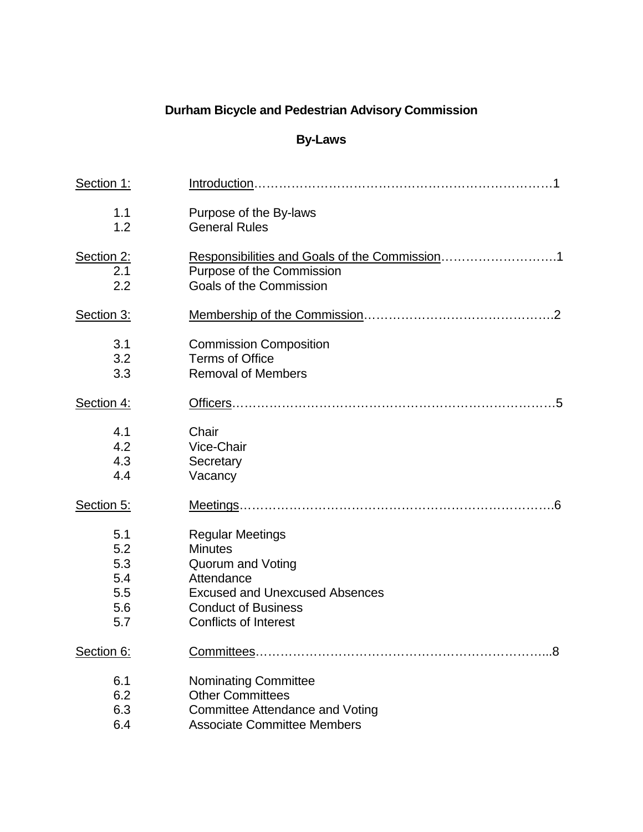# **Durham Bicycle and Pedestrian Advisory Commission**

## **By-Laws**

| Section 1: |                                        |
|------------|----------------------------------------|
| 1.1        | Purpose of the By-laws                 |
| 1.2        | <b>General Rules</b>                   |
| Section 2: |                                        |
| 2.1        | Purpose of the Commission              |
| 2.2        | Goals of the Commission                |
| Section 3: |                                        |
| 3.1        | <b>Commission Composition</b>          |
| 3.2        | <b>Terms of Office</b>                 |
| 3.3        | <b>Removal of Members</b>              |
| Section 4: |                                        |
| 4.1        | Chair                                  |
| 4.2        | Vice-Chair                             |
| 4.3        | Secretary                              |
| 4.4        | Vacancy                                |
| Section 5: | Meetings                               |
| 5.1        | <b>Regular Meetings</b>                |
| 5.2        | <b>Minutes</b>                         |
| 5.3        | Quorum and Voting                      |
| 5.4        | Attendance                             |
| 5.5        | <b>Excused and Unexcused Absences</b>  |
| 5.6        | <b>Conduct of Business</b>             |
| 5.7        | <b>Conflicts of Interest</b>           |
| Section 6: | Committees                             |
| 6.1        | <b>Nominating Committee</b>            |
| 6.2        | <b>Other Committees</b>                |
| 6.3        | <b>Committee Attendance and Voting</b> |
| 6.4        | <b>Associate Committee Members</b>     |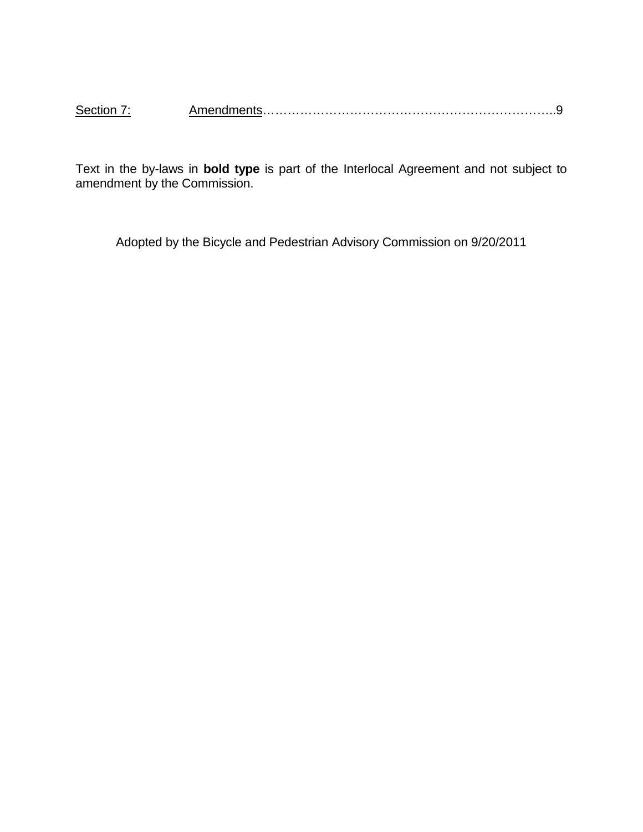| Section |  |  |
|---------|--|--|
|---------|--|--|

Text in the by-laws in **bold type** is part of the Interlocal Agreement and not subject to amendment by the Commission.

Adopted by the Bicycle and Pedestrian Advisory Commission on 9/20/2011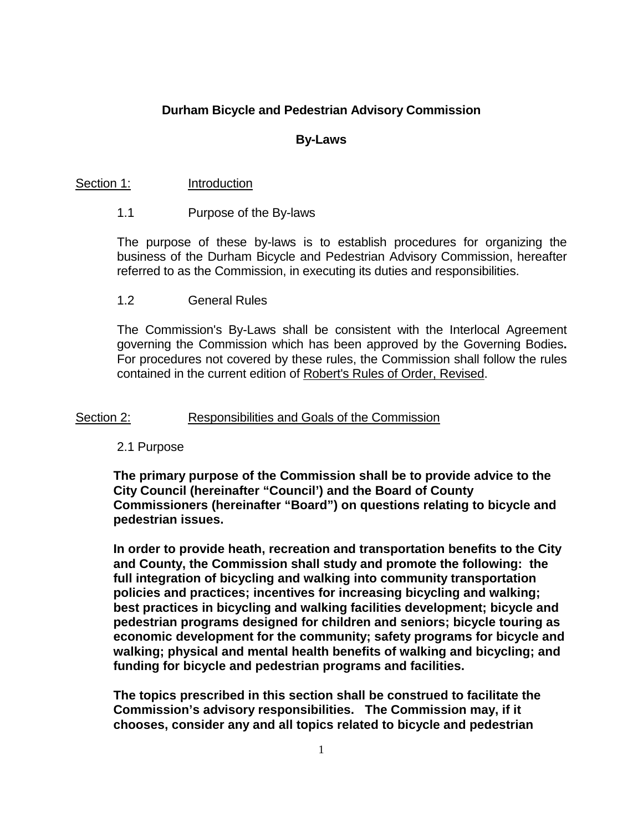## **Durham Bicycle and Pedestrian Advisory Commission**

#### **By-Laws**

#### Section 1: Introduction

#### 1.1 Purpose of the By-laws

The purpose of these by-laws is to establish procedures for organizing the business of the Durham Bicycle and Pedestrian Advisory Commission, hereafter referred to as the Commission, in executing its duties and responsibilities.

#### 1.2 General Rules

The Commission's By-Laws shall be consistent with the Interlocal Agreement governing the Commission which has been approved by the Governing Bodies**.**  For procedures not covered by these rules, the Commission shall follow the rules contained in the current edition of Robert's Rules of Order, Revised.

#### Section 2: Responsibilities and Goals of the Commission

#### 2.1 Purpose

**The primary purpose of the Commission shall be to provide advice to the City Council (hereinafter "Council') and the Board of County Commissioners (hereinafter "Board") on questions relating to bicycle and pedestrian issues.**

**In order to provide heath, recreation and transportation benefits to the City and County, the Commission shall study and promote the following: the full integration of bicycling and walking into community transportation policies and practices; incentives for increasing bicycling and walking; best practices in bicycling and walking facilities development; bicycle and pedestrian programs designed for children and seniors; bicycle touring as economic development for the community; safety programs for bicycle and walking; physical and mental health benefits of walking and bicycling; and funding for bicycle and pedestrian programs and facilities.**

**The topics prescribed in this section shall be construed to facilitate the Commission's advisory responsibilities. The Commission may, if it chooses, consider any and all topics related to bicycle and pedestrian**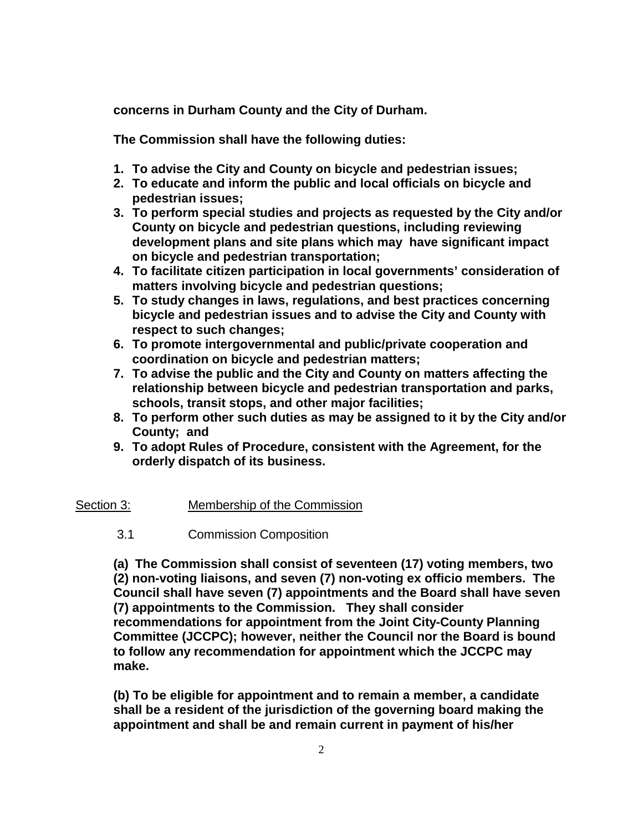**concerns in Durham County and the City of Durham.** 

**The Commission shall have the following duties:**

- **1. To advise the City and County on bicycle and pedestrian issues;**
- **2. To educate and inform the public and local officials on bicycle and pedestrian issues;**
- **3. To perform special studies and projects as requested by the City and/or County on bicycle and pedestrian questions, including reviewing development plans and site plans which may have significant impact on bicycle and pedestrian transportation;**
- **4. To facilitate citizen participation in local governments' consideration of matters involving bicycle and pedestrian questions;**
- **5. To study changes in laws, regulations, and best practices concerning bicycle and pedestrian issues and to advise the City and County with respect to such changes;**
- **6. To promote intergovernmental and public/private cooperation and coordination on bicycle and pedestrian matters;**
- **7. To advise the public and the City and County on matters affecting the relationship between bicycle and pedestrian transportation and parks, schools, transit stops, and other major facilities;**
- **8. To perform other such duties as may be assigned to it by the City and/or County; and**
- **9. To adopt Rules of Procedure, consistent with the Agreement, for the orderly dispatch of its business.**

## Section 3: Membership of the Commission

3.1 Commission Composition

**(a) The Commission shall consist of seventeen (17) voting members, two (2) non-voting liaisons, and seven (7) non-voting ex officio members. The Council shall have seven (7) appointments and the Board shall have seven (7) appointments to the Commission. They shall consider recommendations for appointment from the Joint City-County Planning Committee (JCCPC); however, neither the Council nor the Board is bound to follow any recommendation for appointment which the JCCPC may make.**

**(b) To be eligible for appointment and to remain a member, a candidate shall be a resident of the jurisdiction of the governing board making the appointment and shall be and remain current in payment of his/her**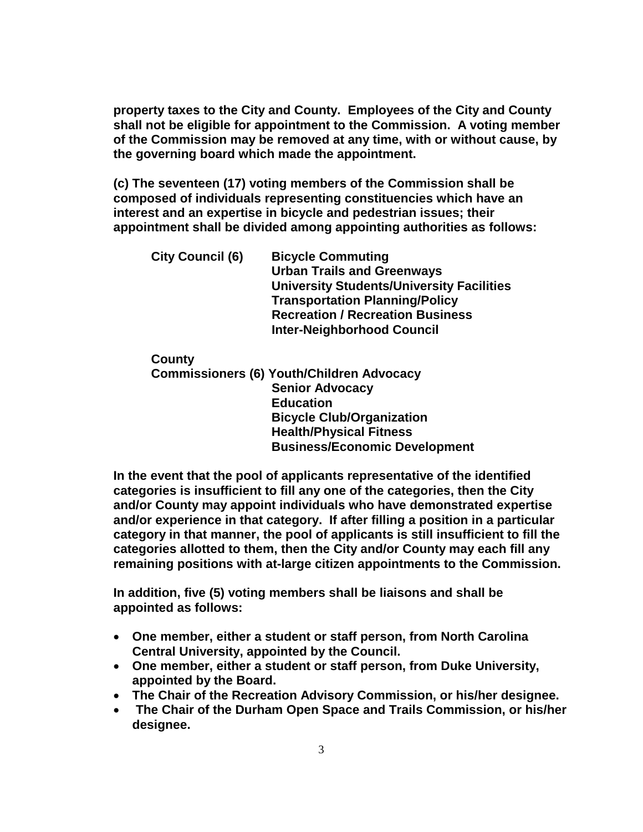**property taxes to the City and County. Employees of the City and County shall not be eligible for appointment to the Commission. A voting member of the Commission may be removed at any time, with or without cause, by the governing board which made the appointment.**

**(c) The seventeen (17) voting members of the Commission shall be composed of individuals representing constituencies which have an interest and an expertise in bicycle and pedestrian issues; their appointment shall be divided among appointing authorities as follows:**

**City Council (6) Bicycle Commuting Urban Trails and Greenways University Students/University Facilities Transportation Planning/Policy Recreation / Recreation Business Inter-Neighborhood Council**

**County**

**Commissioners (6) Youth/Children Advocacy Senior Advocacy Education Bicycle Club/Organization Health/Physical Fitness Business/Economic Development**

**In the event that the pool of applicants representative of the identified categories is insufficient to fill any one of the categories, then the City and/or County may appoint individuals who have demonstrated expertise and/or experience in that category. If after filling a position in a particular category in that manner, the pool of applicants is still insufficient to fill the categories allotted to them, then the City and/or County may each fill any remaining positions with at-large citizen appointments to the Commission.**

**In addition, five (5) voting members shall be liaisons and shall be appointed as follows:**

- **One member, either a student or staff person, from North Carolina Central University, appointed by the Council.**
- **One member, either a student or staff person, from Duke University, appointed by the Board.**
- **The Chair of the Recreation Advisory Commission, or his/her designee.**
- **The Chair of the Durham Open Space and Trails Commission, or his/her designee.**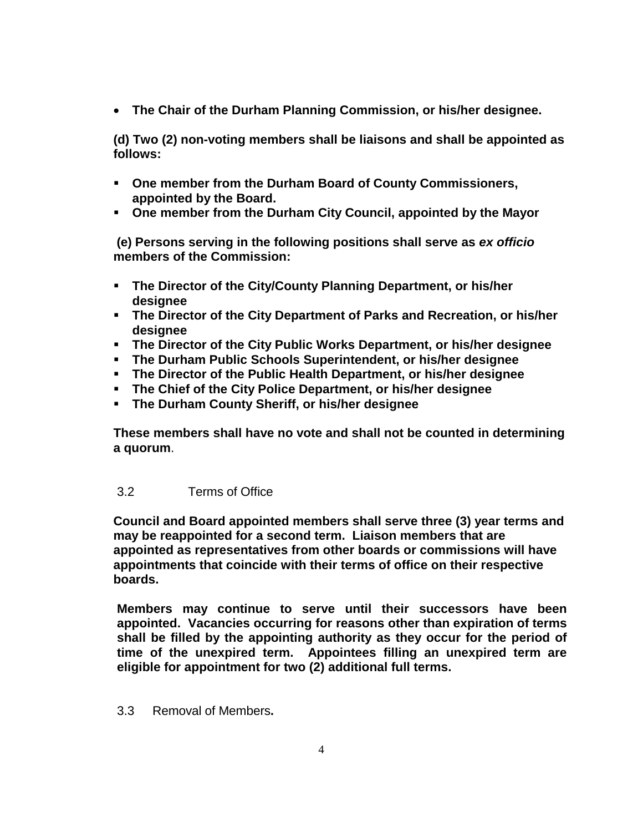• **The Chair of the Durham Planning Commission, or his/her designee.**

**(d) Two (2) non-voting members shall be liaisons and shall be appointed as follows:**

- **One member from the Durham Board of County Commissioners, appointed by the Board.**
- **One member from the Durham City Council, appointed by the Mayor**

**(e) Persons serving in the following positions shall serve as** *ex officio* **members of the Commission:**

- **The Director of the City/County Planning Department, or his/her designee**
- **The Director of the City Department of Parks and Recreation, or his/her designee**
- **The Director of the City Public Works Department, or his/her designee**
- **The Durham Public Schools Superintendent, or his/her designee**
- **The Director of the Public Health Department, or his/her designee**
- **The Chief of the City Police Department, or his/her designee**
- **The Durham County Sheriff, or his/her designee**

**These members shall have no vote and shall not be counted in determining a quorum**.

## 3.2 Terms of Office

**Council and Board appointed members shall serve three (3) year terms and may be reappointed for a second term. Liaison members that are appointed as representatives from other boards or commissions will have appointments that coincide with their terms of office on their respective boards.** 

**Members may continue to serve until their successors have been appointed. Vacancies occurring for reasons other than expiration of terms shall be filled by the appointing authority as they occur for the period of time of the unexpired term. Appointees filling an unexpired term are eligible for appointment for two (2) additional full terms.**

3.3 Removal of Members**.**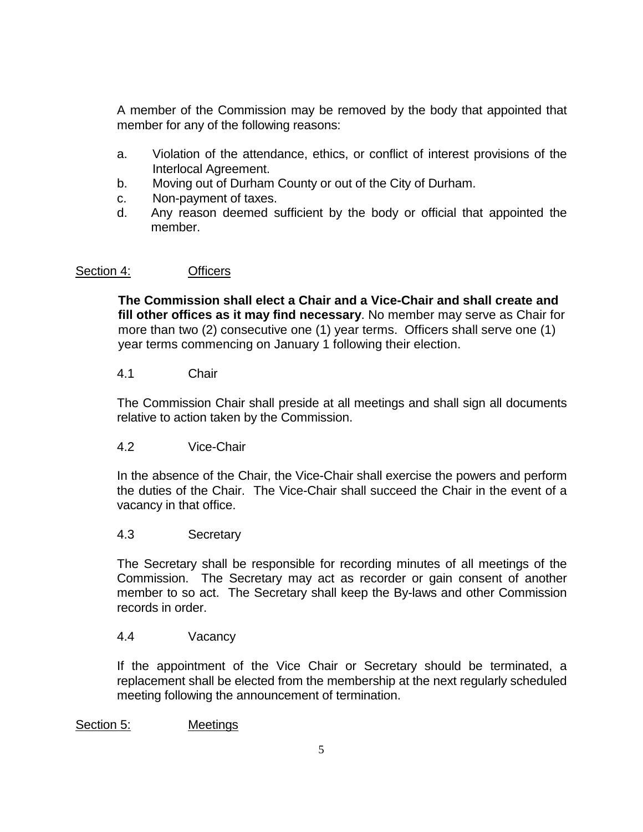A member of the Commission may be removed by the body that appointed that member for any of the following reasons:

- a. Violation of the attendance, ethics, or conflict of interest provisions of the Interlocal Agreement.
- b. Moving out of Durham County or out of the City of Durham.
- c. Non-payment of taxes.
- d. Any reason deemed sufficient by the body or official that appointed the member.

## Section 4: **Officers**

**The Commission shall elect a Chair and a Vice-Chair and shall create and fill other offices as it may find necessary**. No member may serve as Chair for more than two (2) consecutive one (1) year terms. Officers shall serve one (1) year terms commencing on January 1 following their election.

## 4.1 Chair

The Commission Chair shall preside at all meetings and shall sign all documents relative to action taken by the Commission.

## 4.2 Vice-Chair

In the absence of the Chair, the Vice-Chair shall exercise the powers and perform the duties of the Chair. The Vice-Chair shall succeed the Chair in the event of a vacancy in that office.

#### 4.3 Secretary

The Secretary shall be responsible for recording minutes of all meetings of the Commission. The Secretary may act as recorder or gain consent of another member to so act. The Secretary shall keep the By-laws and other Commission records in order.

#### 4.4 Vacancy

If the appointment of the Vice Chair or Secretary should be terminated, a replacement shall be elected from the membership at the next regularly scheduled meeting following the announcement of termination.

Section 5: Meetings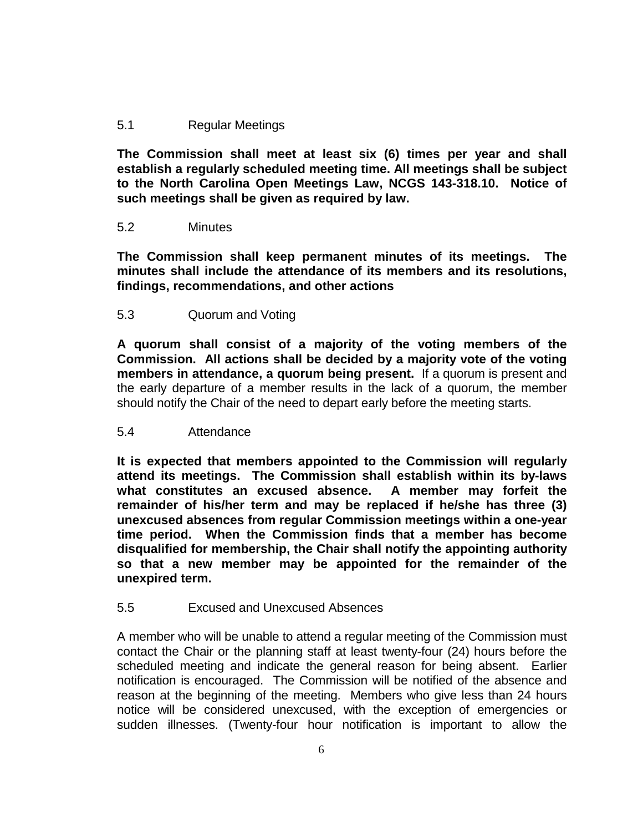## 5.1 Regular Meetings

**The Commission shall meet at least six (6) times per year and shall establish a regularly scheduled meeting time. All meetings shall be subject to the North Carolina Open Meetings Law, NCGS 143-318.10. Notice of such meetings shall be given as required by law.**

## 5.2 Minutes

**The Commission shall keep permanent minutes of its meetings. The minutes shall include the attendance of its members and its resolutions, findings, recommendations, and other actions**

## 5.3 Quorum and Voting

**A quorum shall consist of a majority of the voting members of the Commission. All actions shall be decided by a majority vote of the voting members in attendance, a quorum being present.** If a quorum is present and the early departure of a member results in the lack of a quorum, the member should notify the Chair of the need to depart early before the meeting starts.

#### 5.4 Attendance

**It is expected that members appointed to the Commission will regularly attend its meetings. The Commission shall establish within its by-laws what constitutes an excused absence. A member may forfeit the remainder of his/her term and may be replaced if he/she has three (3) unexcused absences from regular Commission meetings within a one-year time period. When the Commission finds that a member has become disqualified for membership, the Chair shall notify the appointing authority so that a new member may be appointed for the remainder of the unexpired term.**

#### 5.5 Excused and Unexcused Absences

A member who will be unable to attend a regular meeting of the Commission must contact the Chair or the planning staff at least twenty-four (24) hours before the scheduled meeting and indicate the general reason for being absent. Earlier notification is encouraged. The Commission will be notified of the absence and reason at the beginning of the meeting. Members who give less than 24 hours notice will be considered unexcused, with the exception of emergencies or sudden illnesses. (Twenty-four hour notification is important to allow the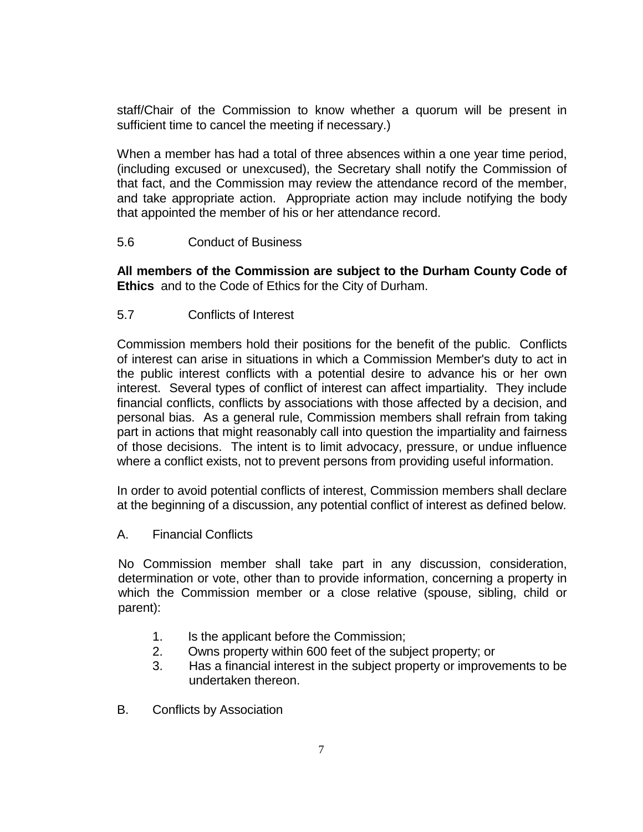staff/Chair of the Commission to know whether a quorum will be present in sufficient time to cancel the meeting if necessary.)

When a member has had a total of three absences within a one year time period, (including excused or unexcused), the Secretary shall notify the Commission of that fact, and the Commission may review the attendance record of the member, and take appropriate action. Appropriate action may include notifying the body that appointed the member of his or her attendance record.

## 5.6 Conduct of Business

**All members of the Commission are subject to the Durham County Code of Ethics** and to the Code of Ethics for the City of Durham.

## 5.7 Conflicts of Interest

Commission members hold their positions for the benefit of the public. Conflicts of interest can arise in situations in which a Commission Member's duty to act in the public interest conflicts with a potential desire to advance his or her own interest. Several types of conflict of interest can affect impartiality. They include financial conflicts, conflicts by associations with those affected by a decision, and personal bias. As a general rule, Commission members shall refrain from taking part in actions that might reasonably call into question the impartiality and fairness of those decisions. The intent is to limit advocacy, pressure, or undue influence where a conflict exists, not to prevent persons from providing useful information.

In order to avoid potential conflicts of interest, Commission members shall declare at the beginning of a discussion, any potential conflict of interest as defined below.

A. Financial Conflicts

No Commission member shall take part in any discussion, consideration, determination or vote, other than to provide information, concerning a property in which the Commission member or a close relative (spouse, sibling, child or parent):

- 1. Is the applicant before the Commission;
- 2. Owns property within 600 feet of the subject property; or
- 3. Has a financial interest in the subject property or improvements to be undertaken thereon.
- B. Conflicts by Association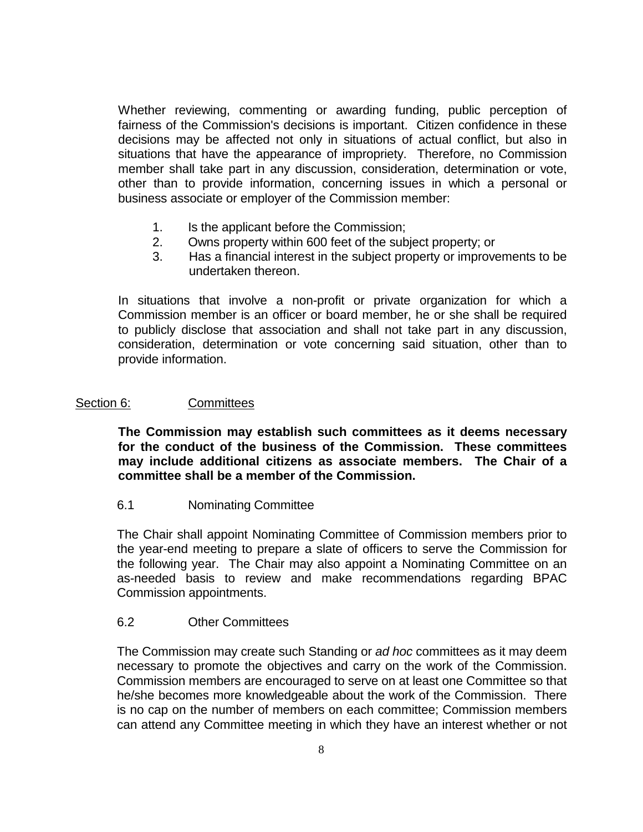Whether reviewing, commenting or awarding funding, public perception of fairness of the Commission's decisions is important. Citizen confidence in these decisions may be affected not only in situations of actual conflict, but also in situations that have the appearance of impropriety. Therefore, no Commission member shall take part in any discussion, consideration, determination or vote, other than to provide information, concerning issues in which a personal or business associate or employer of the Commission member:

- 1. Is the applicant before the Commission;
- 2. Owns property within 600 feet of the subject property; or
- 3. Has a financial interest in the subject property or improvements to be undertaken thereon.

In situations that involve a non-profit or private organization for which a Commission member is an officer or board member, he or she shall be required to publicly disclose that association and shall not take part in any discussion, consideration, determination or vote concerning said situation, other than to provide information.

## Section 6: Committees

**The Commission may establish such committees as it deems necessary for the conduct of the business of the Commission. These committees may include additional citizens as associate members. The Chair of a committee shall be a member of the Commission.**

#### 6.1 Nominating Committee

The Chair shall appoint Nominating Committee of Commission members prior to the year-end meeting to prepare a slate of officers to serve the Commission for the following year. The Chair may also appoint a Nominating Committee on an as-needed basis to review and make recommendations regarding BPAC Commission appointments.

#### 6.2 Other Committees

The Commission may create such Standing or *ad hoc* committees as it may deem necessary to promote the objectives and carry on the work of the Commission. Commission members are encouraged to serve on at least one Committee so that he/she becomes more knowledgeable about the work of the Commission. There is no cap on the number of members on each committee; Commission members can attend any Committee meeting in which they have an interest whether or not